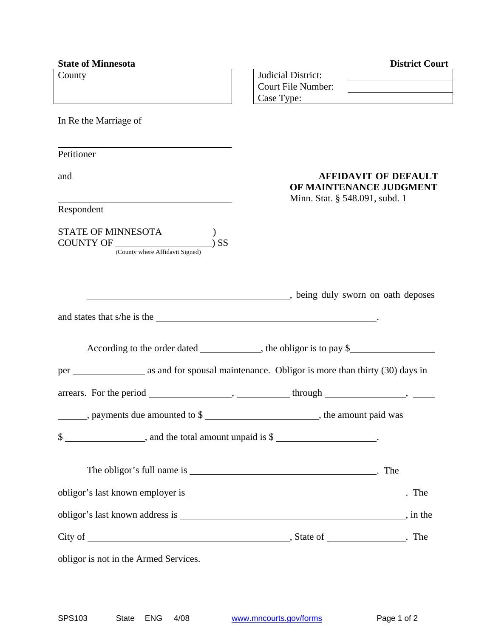| <b>State of Minnesota</b>                                                                              | <b>District Court</b>                                                                    |
|--------------------------------------------------------------------------------------------------------|------------------------------------------------------------------------------------------|
| County                                                                                                 | Judicial District:                                                                       |
|                                                                                                        | <b>Court File Number:</b>                                                                |
|                                                                                                        | Case Type:                                                                               |
| In Re the Marriage of                                                                                  |                                                                                          |
| Petitioner                                                                                             |                                                                                          |
| and                                                                                                    | <b>AFFIDAVIT OF DEFAULT</b><br>OF MAINTENANCE JUDGMENT<br>Minn. Stat. § 548.091, subd. 1 |
| Respondent                                                                                             |                                                                                          |
| STATE OF MINNESOTA<br>COUNTY OF<br>$)$ SS<br>(County where Affidavit Signed)                           |                                                                                          |
| and states that s/he is the                                                                            | being duly sworn on oath deposes                                                         |
|                                                                                                        |                                                                                          |
|                                                                                                        |                                                                                          |
|                                                                                                        |                                                                                          |
|                                                                                                        |                                                                                          |
| _______, payments due amounted to \$ __________________________, the amount paid was                   |                                                                                          |
| $\frac{1}{2}$ $\frac{1}{2}$ $\frac{1}{2}$ and the total amount unpaid is $\frac{1}{2}$ $\frac{1}{2}$ . |                                                                                          |
|                                                                                                        |                                                                                          |
|                                                                                                        |                                                                                          |
|                                                                                                        |                                                                                          |
|                                                                                                        |                                                                                          |
| obligor is not in the Armed Services.                                                                  |                                                                                          |